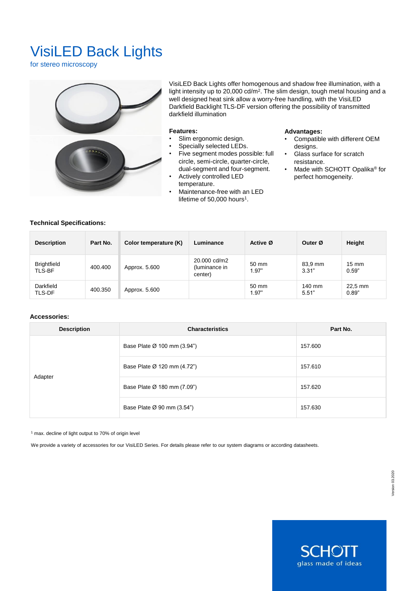# VisiLED Back Lights

for stereo microscopy



VisiLED Back Lights offer homogenous and shadow free illumination, with a light intensity up to 20,000 cd/m<sup>2</sup> . The slim design, tough metal housing and a well designed heat sink allow a worry-free handling, with the VisiLED Darkfield Backlight TLS-DF version offering the possibility of transmitted darkfield illumination

#### **Features:**

- Slim ergonomic design.
- Specially selected LEDs.
- Five segment modes possible: full circle, semi-circle, quarter-circle, dual-segment and four-segment.
- Actively controlled LED temperature.
- Maintenance-free with an LED lifetime of  $50,000$  hours<sup>1</sup>.

#### **Advantages:**

- Compatible with different OEM designs.
- Glass surface for scratch resistance.
- Made with SCHOTT Opalika<sup>®</sup> for perfect homogeneity.

## **Technical Specifications:**

| <b>Description</b>           | Part No. | Color temperature (K) | Luminance                                | Active Ø       | Outer Ø          | Height                   |
|------------------------------|----------|-----------------------|------------------------------------------|----------------|------------------|--------------------------|
| <b>Brightfield</b><br>TLS-BF | 400.400  | Approx. 5.600         | 20,000 cd/m2<br>(luminance in<br>center) | 50 mm<br>1.97" | 83.9 mm<br>3.31" | $15 \text{ mm}$<br>0.59" |
| Darkfield<br>TLS-DF          | 400.350  | Approx. 5.600         |                                          | 50 mm<br>1.97" | 140 mm<br>5.51"  | 22,5 mm<br>0.89"         |

#### **Accessories:**

| <b>Description</b> | <b>Characteristics</b>      | Part No. |  |
|--------------------|-----------------------------|----------|--|
|                    | Base Plate Ø 100 mm (3.94") | 157.600  |  |
|                    | Base Plate Ø 120 mm (4.72") | 157.610  |  |
| Adapter            | Base Plate Ø 180 mm (7.09") | 157.620  |  |
|                    | Base Plate Ø 90 mm (3.54")  | 157.630  |  |

<sup>1</sup> max. decline of light output to 70% of origin level

We provide a variety of accessories for our VisiLED Series. For details please refer to our system diagrams or according datasheets.